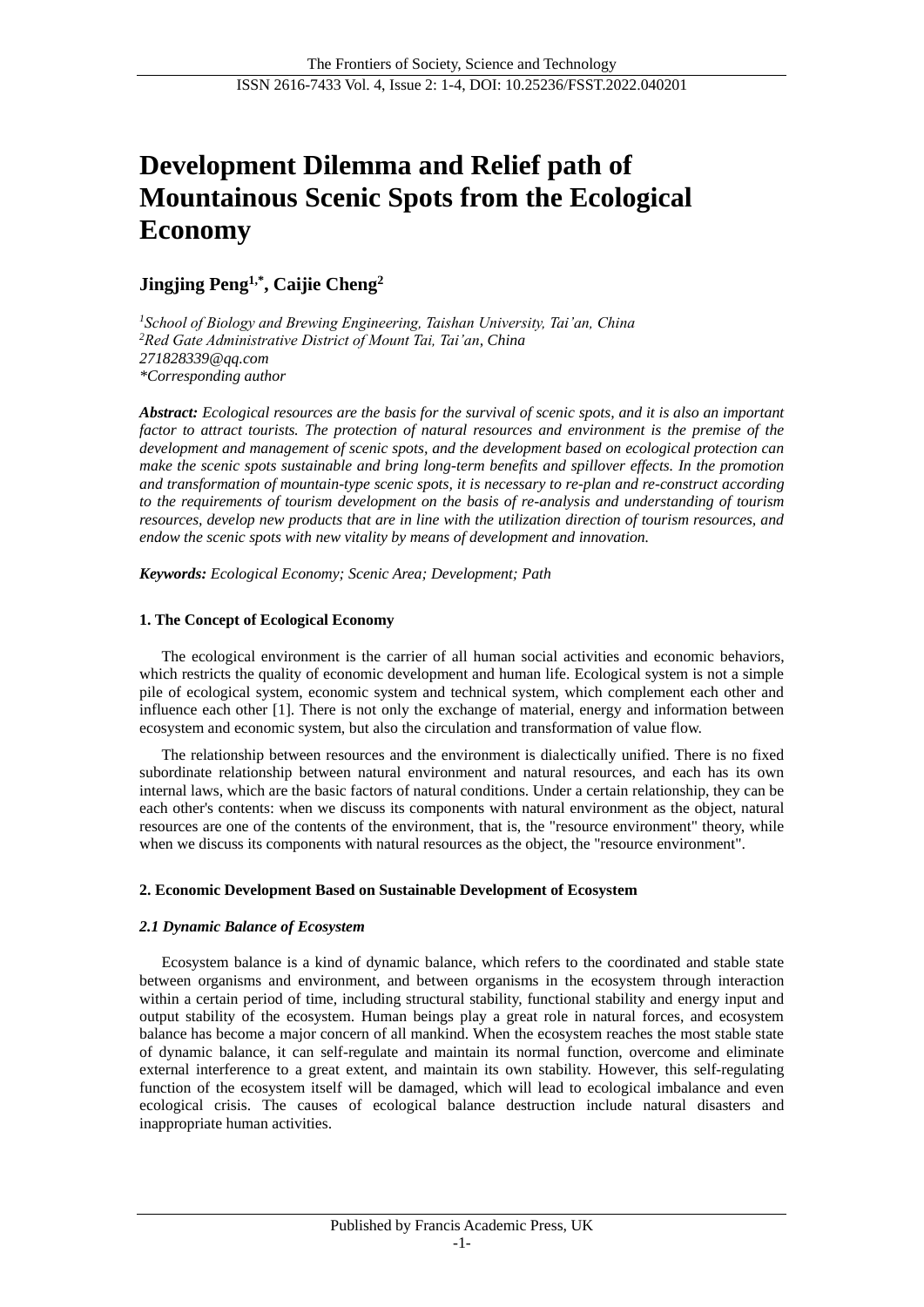# **Development Dilemma and Relief path of Mountainous Scenic Spots from the Ecological Economy**

# **Jingjing Peng1,\*, Caijie Cheng<sup>2</sup>**

*<sup>1</sup>School of Biology and Brewing Engineering, Taishan University, Tai'an, China <sup>2</sup>Red Gate Administrative District of Mount Tai, Tai'an, China 271828339@qq.com \*Corresponding author*

*Abstract: Ecological resources are the basis for the survival of scenic spots, and it is also an important factor to attract tourists. The protection of natural resources and environment is the premise of the development and management of scenic spots, and the development based on ecological protection can make the scenic spots sustainable and bring long-term benefits and spillover effects. In the promotion and transformation of mountain-type scenic spots, it is necessary to re-plan and re-construct according to the requirements of tourism development on the basis of re-analysis and understanding of tourism resources, develop new products that are in line with the utilization direction of tourism resources, and endow the scenic spots with new vitality by means of development and innovation.*

*Keywords: Ecological Economy; Scenic Area; Development; Path*

# **1. The Concept of Ecological Economy**

The ecological environment is the carrier of all human social activities and economic behaviors, which restricts the quality of economic development and human life. Ecological system is not a simple pile of ecological system, economic system and technical system, which complement each other and influence each other [1]. There is not only the exchange of material, energy and information between ecosystem and economic system, but also the circulation and transformation of value flow.

The relationship between resources and the environment is dialectically unified. There is no fixed subordinate relationship between natural environment and natural resources, and each has its own internal laws, which are the basic factors of natural conditions. Under a certain relationship, they can be each other's contents: when we discuss its components with natural environment as the object, natural resources are one of the contents of the environment, that is, the "resource environment" theory, while when we discuss its components with natural resources as the object, the "resource environment".

# **2. Economic Development Based on Sustainable Development of Ecosystem**

# *2.1 Dynamic Balance of Ecosystem*

Ecosystem balance is a kind of dynamic balance, which refers to the coordinated and stable state between organisms and environment, and between organisms in the ecosystem through interaction within a certain period of time, including structural stability, functional stability and energy input and output stability of the ecosystem. Human beings play a great role in natural forces, and ecosystem balance has become a major concern of all mankind. When the ecosystem reaches the most stable state of dynamic balance, it can self-regulate and maintain its normal function, overcome and eliminate external interference to a great extent, and maintain its own stability. However, this self-regulating function of the ecosystem itself will be damaged, which will lead to ecological imbalance and even ecological crisis. The causes of ecological balance destruction include natural disasters and inappropriate human activities.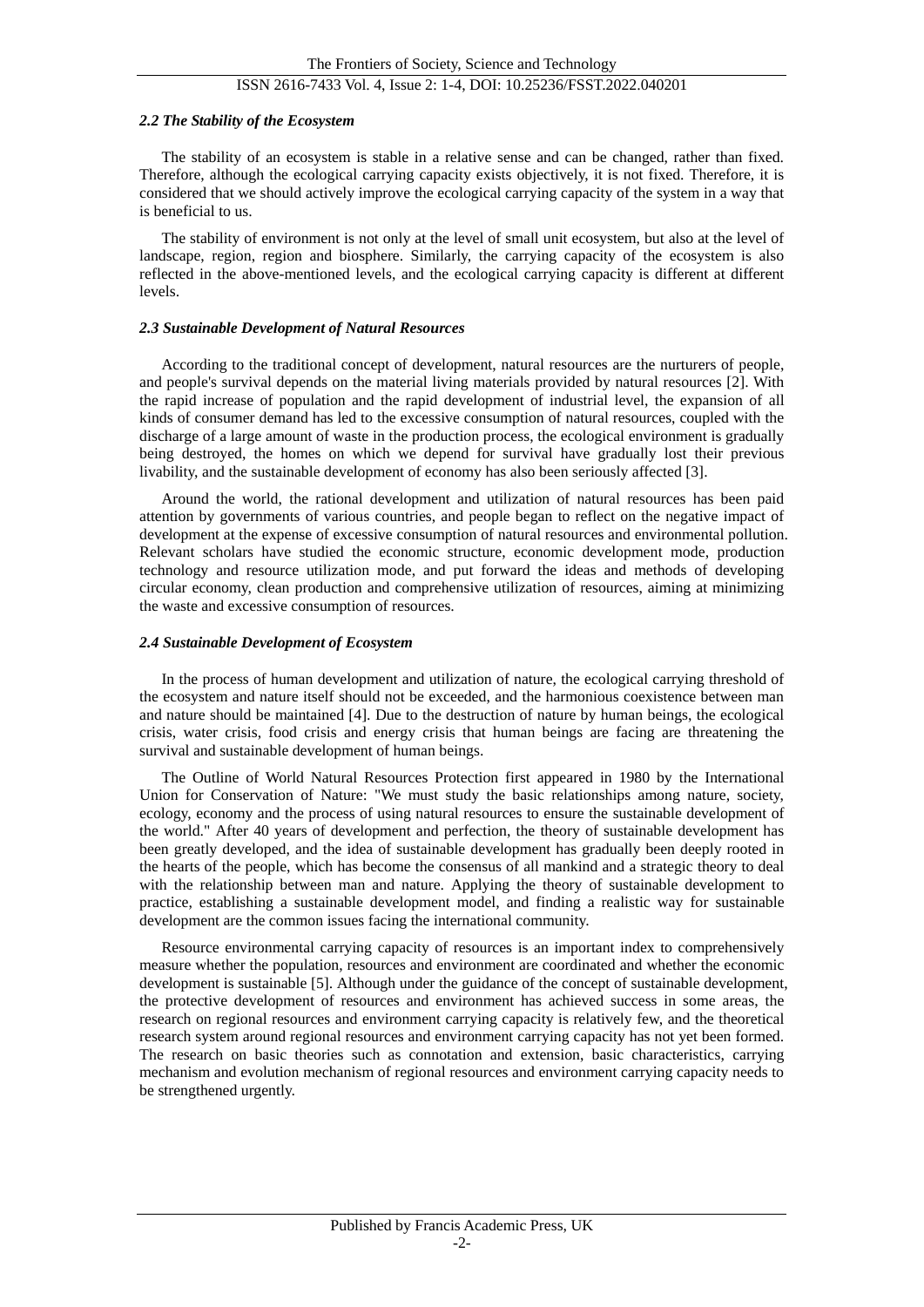#### *2.2 The Stability of the Ecosystem*

The stability of an ecosystem is stable in a relative sense and can be changed, rather than fixed. Therefore, although the ecological carrying capacity exists objectively, it is not fixed. Therefore, it is considered that we should actively improve the ecological carrying capacity of the system in a way that is beneficial to us.

The stability of environment is not only at the level of small unit ecosystem, but also at the level of landscape, region, region and biosphere. Similarly, the carrying capacity of the ecosystem is also reflected in the above-mentioned levels, and the ecological carrying capacity is different at different levels.

#### *2.3 Sustainable Development of Natural Resources*

According to the traditional concept of development, natural resources are the nurturers of people, and people's survival depends on the material living materials provided by natural resources [2]. With the rapid increase of population and the rapid development of industrial level, the expansion of all kinds of consumer demand has led to the excessive consumption of natural resources, coupled with the discharge of a large amount of waste in the production process, the ecological environment is gradually being destroyed, the homes on which we depend for survival have gradually lost their previous livability, and the sustainable development of economy has also been seriously affected [3].

Around the world, the rational development and utilization of natural resources has been paid attention by governments of various countries, and people began to reflect on the negative impact of development at the expense of excessive consumption of natural resources and environmental pollution. Relevant scholars have studied the economic structure, economic development mode, production technology and resource utilization mode, and put forward the ideas and methods of developing circular economy, clean production and comprehensive utilization of resources, aiming at minimizing the waste and excessive consumption of resources.

#### *2.4 Sustainable Development of Ecosystem*

In the process of human development and utilization of nature, the ecological carrying threshold of the ecosystem and nature itself should not be exceeded, and the harmonious coexistence between man and nature should be maintained [4]. Due to the destruction of nature by human beings, the ecological crisis, water crisis, food crisis and energy crisis that human beings are facing are threatening the survival and sustainable development of human beings.

The Outline of World Natural Resources Protection first appeared in 1980 by the International Union for Conservation of Nature: "We must study the basic relationships among nature, society, ecology, economy and the process of using natural resources to ensure the sustainable development of the world." After 40 years of development and perfection, the theory of sustainable development has been greatly developed, and the idea of sustainable development has gradually been deeply rooted in the hearts of the people, which has become the consensus of all mankind and a strategic theory to deal with the relationship between man and nature. Applying the theory of sustainable development to practice, establishing a sustainable development model, and finding a realistic way for sustainable development are the common issues facing the international community.

Resource environmental carrying capacity of resources is an important index to comprehensively measure whether the population, resources and environment are coordinated and whether the economic development is sustainable [5]. Although under the guidance of the concept of sustainable development, the protective development of resources and environment has achieved success in some areas, the research on regional resources and environment carrying capacity is relatively few, and the theoretical research system around regional resources and environment carrying capacity has not yet been formed. The research on basic theories such as connotation and extension, basic characteristics, carrying mechanism and evolution mechanism of regional resources and environment carrying capacity needs to be strengthened urgently.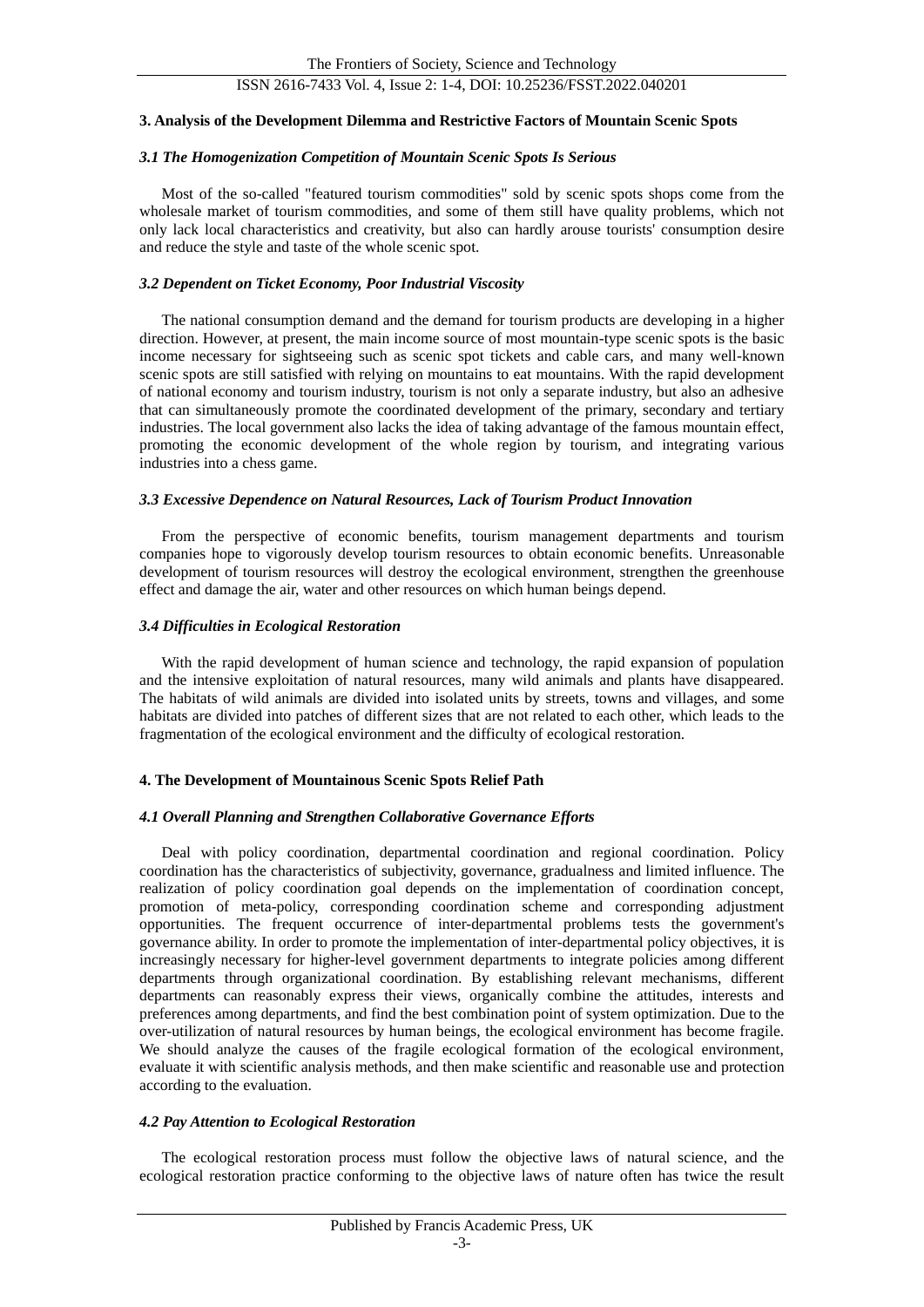# ISSN 2616-7433 Vol. 4, Issue 2: 1-4, DOI: 10.25236/FSST.2022.040201

#### **3. Analysis of the Development Dilemma and Restrictive Factors of Mountain Scenic Spots**

# *3.1 The Homogenization Competition of Mountain Scenic Spots Is Serious*

Most of the so-called "featured tourism commodities" sold by scenic spots shops come from the wholesale market of tourism commodities, and some of them still have quality problems, which not only lack local characteristics and creativity, but also can hardly arouse tourists' consumption desire and reduce the style and taste of the whole scenic spot.

#### *3.2 Dependent on Ticket Economy, Poor Industrial Viscosity*

The national consumption demand and the demand for tourism products are developing in a higher direction. However, at present, the main income source of most mountain-type scenic spots is the basic income necessary for sightseeing such as scenic spot tickets and cable cars, and many well-known scenic spots are still satisfied with relying on mountains to eat mountains. With the rapid development of national economy and tourism industry, tourism is not only a separate industry, but also an adhesive that can simultaneously promote the coordinated development of the primary, secondary and tertiary industries. The local government also lacks the idea of taking advantage of the famous mountain effect, promoting the economic development of the whole region by tourism, and integrating various industries into a chess game.

# *3.3 Excessive Dependence on Natural Resources, Lack of Tourism Product Innovation*

From the perspective of economic benefits, tourism management departments and tourism companies hope to vigorously develop tourism resources to obtain economic benefits. Unreasonable development of tourism resources will destroy the ecological environment, strengthen the greenhouse effect and damage the air, water and other resources on which human beings depend.

#### *3.4 Difficulties in Ecological Restoration*

With the rapid development of human science and technology, the rapid expansion of population and the intensive exploitation of natural resources, many wild animals and plants have disappeared. The habitats of wild animals are divided into isolated units by streets, towns and villages, and some habitats are divided into patches of different sizes that are not related to each other, which leads to the fragmentation of the ecological environment and the difficulty of ecological restoration.

# **4. The Development of Mountainous Scenic Spots Relief Path**

#### *4.1 Overall Planning and Strengthen Collaborative Governance Efforts*

Deal with policy coordination, departmental coordination and regional coordination. Policy coordination has the characteristics of subjectivity, governance, gradualness and limited influence. The realization of policy coordination goal depends on the implementation of coordination concept, promotion of meta-policy, corresponding coordination scheme and corresponding adjustment opportunities. The frequent occurrence of inter-departmental problems tests the government's governance ability. In order to promote the implementation of inter-departmental policy objectives, it is increasingly necessary for higher-level government departments to integrate policies among different departments through organizational coordination. By establishing relevant mechanisms, different departments can reasonably express their views, organically combine the attitudes, interests and preferences among departments, and find the best combination point of system optimization. Due to the over-utilization of natural resources by human beings, the ecological environment has become fragile. We should analyze the causes of the fragile ecological formation of the ecological environment, evaluate it with scientific analysis methods, and then make scientific and reasonable use and protection according to the evaluation.

#### *4.2 Pay Attention to Ecological Restoration*

The ecological restoration process must follow the objective laws of natural science, and the ecological restoration practice conforming to the objective laws of nature often has twice the result